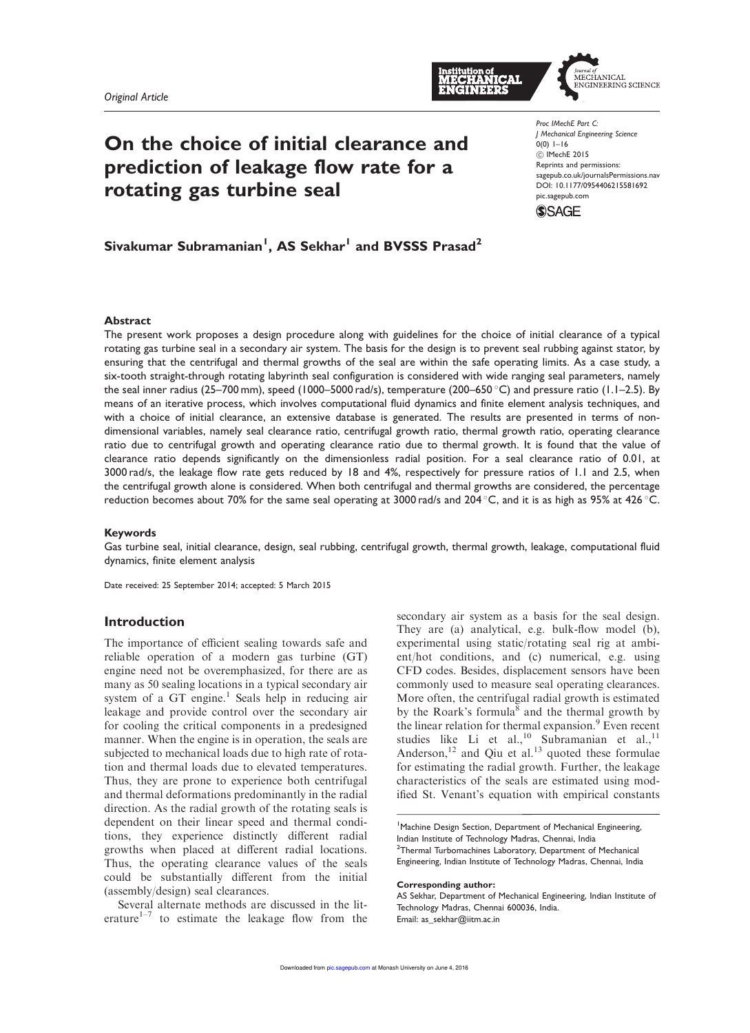

# On the choice of initial clearance and prediction of leakage flow rate for a rotating gas turbine seal

*Proc IMechE Part C: J Mechanical Engineering Science*  $0(0)$  1–16 C IMechE 2015 Reprints and permissions: sagepub.co.uk/journalsPermissions.nav DOI: 10.1177/0954406215581692 pic.sagepub.com



# ${\sf Sixkumar\ Subramanian}^!$ , AS  ${\sf Sekhar}^!$  and <code>BVSSS</code> Prasad $^2$

### Abstract

The present work proposes a design procedure along with guidelines for the choice of initial clearance of a typical rotating gas turbine seal in a secondary air system. The basis for the design is to prevent seal rubbing against stator, by ensuring that the centrifugal and thermal growths of the seal are within the safe operating limits. As a case study, a six-tooth straight-through rotating labyrinth seal configuration is considered with wide ranging seal parameters, namely the seal inner radius (25–700 mm), speed (1000–5000 rad/s), temperature (200–650 °C) and pressure ratio (1.1–2.5). By means of an iterative process, which involves computational fluid dynamics and finite element analysis techniques, and with a choice of initial clearance, an extensive database is generated. The results are presented in terms of nondimensional variables, namely seal clearance ratio, centrifugal growth ratio, thermal growth ratio, operating clearance ratio due to centrifugal growth and operating clearance ratio due to thermal growth. It is found that the value of clearance ratio depends significantly on the dimensionless radial position. For a seal clearance ratio of 0.01, at 3000 rad/s, the leakage flow rate gets reduced by 18 and 4%, respectively for pressure ratios of 1.1 and 2.5, when the centrifugal growth alone is considered. When both centrifugal and thermal growths are considered, the percentage reduction becomes about 70% for the same seal operating at 3000 rad/s and 204 °C, and it is as high as 95% at 426 °C.

### Keywords

Gas turbine seal, initial clearance, design, seal rubbing, centrifugal growth, thermal growth, leakage, computational fluid dynamics, finite element analysis

Date received: 25 September 2014; accepted: 5 March 2015

### Introduction

The importance of efficient sealing towards safe and reliable operation of a modern gas turbine (GT) engine need not be overemphasized, for there are as many as 50 sealing locations in a typical secondary air system of a GT engine.<sup>1</sup> Seals help in reducing air leakage and provide control over the secondary air for cooling the critical components in a predesigned manner. When the engine is in operation, the seals are subjected to mechanical loads due to high rate of rotation and thermal loads due to elevated temperatures. Thus, they are prone to experience both centrifugal and thermal deformations predominantly in the radial direction. As the radial growth of the rotating seals is dependent on their linear speed and thermal conditions, they experience distinctly different radial growths when placed at different radial locations. Thus, the operating clearance values of the seals could be substantially different from the initial (assembly/design) seal clearances.

Several alternate methods are discussed in the literature $1-7$  to estimate the leakage flow from the

secondary air system as a basis for the seal design. They are (a) analytical, e.g. bulk-flow model (b), experimental using static/rotating seal rig at ambient/hot conditions, and (c) numerical, e.g. using CFD codes. Besides, displacement sensors have been commonly used to measure seal operating clearances. More often, the centrifugal radial growth is estimated by the Roark's formula<sup>8</sup> and the thermal growth by the linear relation for thermal expansion.<sup>9</sup> Even recent studies like Li et al.,<sup>10</sup> Subramanian et al.,<sup>11</sup> Anderson, $^{12}$  and Qiu et al.<sup>13</sup> quoted these formulae for estimating the radial growth. Further, the leakage characteristics of the seals are estimated using modified St. Venant's equation with empirical constants

#### Corresponding author:

<sup>&</sup>lt;sup>1</sup>Machine Design Section, Department of Mechanical Engineering, Indian Institute of Technology Madras, Chennai, India <sup>2</sup>Thermal Turbomachines Laboratory, Department of Mechanical Engineering, Indian Institute of Technology Madras, Chennai, India

AS Sekhar, Department of Mechanical Engineering, Indian Institute of Technology Madras, Chennai 600036, India. Email: as\_sekhar@iitm.ac.in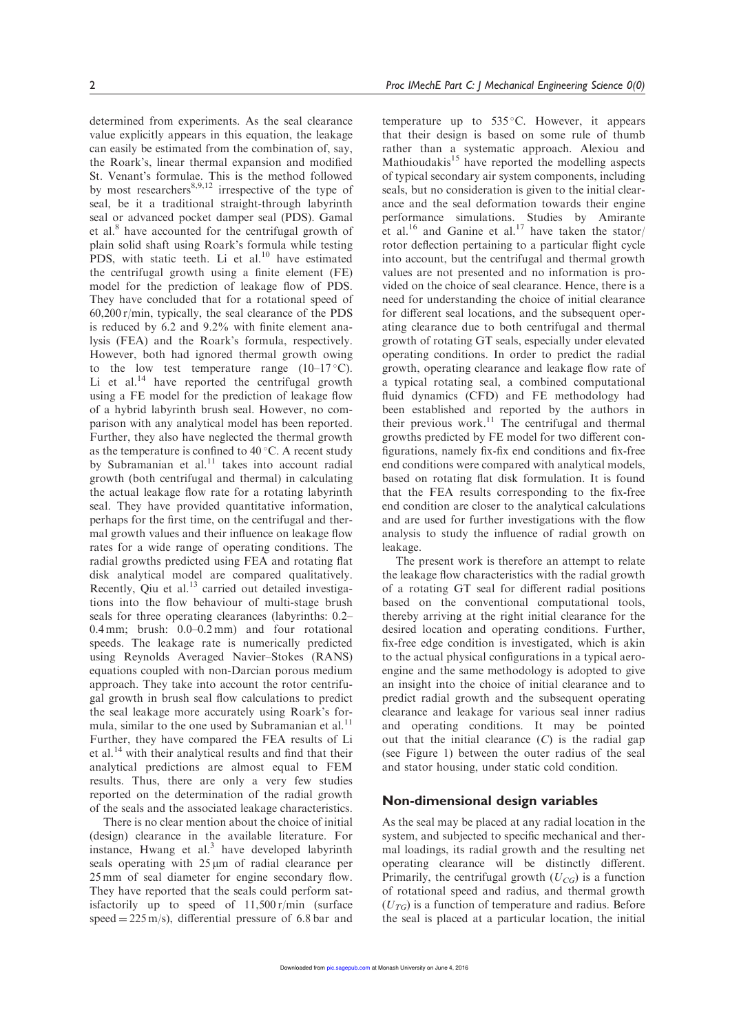determined from experiments. As the seal clearance value explicitly appears in this equation, the leakage can easily be estimated from the combination of, say, the Roark's, linear thermal expansion and modified St. Venant's formulae. This is the method followed by most researchers<sup>8,9,12</sup> irrespective of the type of seal, be it a traditional straight-through labyrinth seal or advanced pocket damper seal (PDS). Gamal et al.<sup>8</sup> have accounted for the centrifugal growth of plain solid shaft using Roark's formula while testing PDS, with static teeth. Li et al.<sup>10</sup> have estimated the centrifugal growth using a finite element (FE) model for the prediction of leakage flow of PDS. They have concluded that for a rotational speed of 60,200 r/min, typically, the seal clearance of the PDS is reduced by 6.2 and 9.2% with finite element analysis (FEA) and the Roark's formula, respectively. However, both had ignored thermal growth owing to the low test temperature range  $(10-17\degree C)$ . Li et al. $^{14}$  have reported the centrifugal growth using a FE model for the prediction of leakage flow of a hybrid labyrinth brush seal. However, no comparison with any analytical model has been reported. Further, they also have neglected the thermal growth as the temperature is confined to  $40\degree C$ . A recent study by Subramanian et al.<sup>11</sup> takes into account radial growth (both centrifugal and thermal) in calculating the actual leakage flow rate for a rotating labyrinth seal. They have provided quantitative information, perhaps for the first time, on the centrifugal and thermal growth values and their influence on leakage flow rates for a wide range of operating conditions. The radial growths predicted using FEA and rotating flat disk analytical model are compared qualitatively. Recently, Qiu et al.<sup>13</sup> carried out detailed investigations into the flow behaviour of multi-stage brush seals for three operating clearances (labyrinths: 0.2– 0.4 mm; brush: 0.0–0.2 mm) and four rotational speeds. The leakage rate is numerically predicted using Reynolds Averaged Navier–Stokes (RANS) equations coupled with non-Darcian porous medium approach. They take into account the rotor centrifugal growth in brush seal flow calculations to predict the seal leakage more accurately using Roark's formula, similar to the one used by Subramanian et al. $<sup>11</sup>$ </sup> Further, they have compared the FEA results of Li et al.<sup>14</sup> with their analytical results and find that their analytical predictions are almost equal to FEM results. Thus, there are only a very few studies reported on the determination of the radial growth of the seals and the associated leakage characteristics.

There is no clear mention about the choice of initial (design) clearance in the available literature. For instance, Hwang et al. $3$  have developed labyrinth seals operating with  $25 \mu m$  of radial clearance per 25 mm of seal diameter for engine secondary flow. They have reported that the seals could perform satisfactorily up to speed of 11,500 r/min (surface speed  $= 225$  m/s), differential pressure of 6.8 bar and temperature up to  $535^{\circ}$ C. However, it appears that their design is based on some rule of thumb rather than a systematic approach. Alexiou and Mathioudakis<sup>15</sup> have reported the modelling aspects of typical secondary air system components, including seals, but no consideration is given to the initial clearance and the seal deformation towards their engine performance simulations. Studies by Amirante et al.<sup>16</sup> and Ganine et al.<sup>17</sup> have taken the stator/ rotor deflection pertaining to a particular flight cycle into account, but the centrifugal and thermal growth values are not presented and no information is provided on the choice of seal clearance. Hence, there is a need for understanding the choice of initial clearance for different seal locations, and the subsequent operating clearance due to both centrifugal and thermal growth of rotating GT seals, especially under elevated operating conditions. In order to predict the radial growth, operating clearance and leakage flow rate of a typical rotating seal, a combined computational fluid dynamics (CFD) and FE methodology had been established and reported by the authors in their previous work.<sup>11</sup> The centrifugal and thermal growths predicted by FE model for two different configurations, namely fix-fix end conditions and fix-free end conditions were compared with analytical models, based on rotating flat disk formulation. It is found that the FEA results corresponding to the fix-free end condition are closer to the analytical calculations and are used for further investigations with the flow analysis to study the influence of radial growth on leakage.

The present work is therefore an attempt to relate the leakage flow characteristics with the radial growth of a rotating GT seal for different radial positions based on the conventional computational tools, thereby arriving at the right initial clearance for the desired location and operating conditions. Further, fix-free edge condition is investigated, which is akin to the actual physical configurations in a typical aeroengine and the same methodology is adopted to give an insight into the choice of initial clearance and to predict radial growth and the subsequent operating clearance and leakage for various seal inner radius and operating conditions. It may be pointed out that the initial clearance  $(C)$  is the radial gap (see Figure 1) between the outer radius of the seal and stator housing, under static cold condition.

# Non-dimensional design variables

As the seal may be placed at any radial location in the system, and subjected to specific mechanical and thermal loadings, its radial growth and the resulting net operating clearance will be distinctly different. Primarily, the centrifugal growth  $(U_{CG})$  is a function of rotational speed and radius, and thermal growth  $(U_{TG})$  is a function of temperature and radius. Before the seal is placed at a particular location, the initial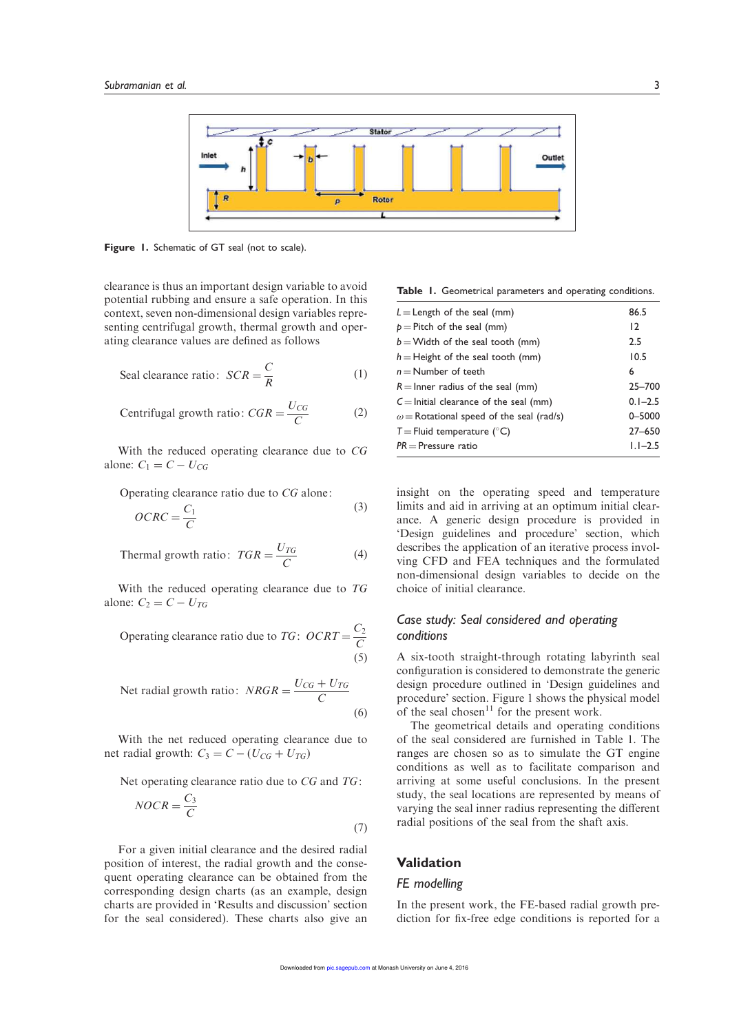

Figure 1. Schematic of GT seal (not to scale).

clearance is thus an important design variable to avoid potential rubbing and ensure a safe operation. In this context, seven non-dimensional design variables representing centrifugal growth, thermal growth and operating clearance values are defined as follows

$$
Real clearance ratio: SCR = \frac{C}{R}
$$
 (1)

Centrifugal growth ratio: 
$$
CGR = \frac{U_{CG}}{C}
$$
 (2)

With the reduced operating clearance due to *CG* alone:  $C_1 = C - U_{CG}$ 

Operating clearance ratio due to *CG* alone:

$$
OCRC = \frac{C_1}{C}
$$
 (3)

Thermal growth ratio: 
$$
TGR = \frac{U_{TG}}{C}
$$
 (4)

With the reduced operating clearance due to *TG* alone:  $C_2 = C - U_{TG}$ 

Operating clearance ratio due to *TG*:  $OCRT = \frac{C_2}{C_1}$ *C*  $(5)$ 

Net radial growth ratio:  $NRGR = \frac{U_{CG} + U_{TG}}{G}$ *C*  $(6)$ 

With the net reduced operating clearance due to net radial growth:  $C_3 = C - (U_{CG} + U_{TG})$ 

Net operating clearance ratio due to *CG* and *TG*:

$$
NOCR = \frac{C_3}{C}
$$
\n<sup>(7)</sup>

For a given initial clearance and the desired radial position of interest, the radial growth and the consequent operating clearance can be obtained from the corresponding design charts (as an example, design charts are provided in 'Results and discussion' section for the seal considered). These charts also give an

Table 1. Geometrical parameters and operating conditions.

| $L =$ Length of the seal (mm)                   | 86.5        |
|-------------------------------------------------|-------------|
| $p =$ Pitch of the seal (mm)                    | 12          |
| $b =$ Width of the seal tooth (mm)              | 2.5         |
| $h =$ Height of the seal tooth (mm)             | 10.5        |
| $n =$ Number of teeth                           | 6           |
| $R =$ Inner radius of the seal (mm)             | 25-700      |
| $C =$ Initial clearance of the seal (mm)        | $0.1 - 2.5$ |
| $\omega$ = Rotational speed of the seal (rad/s) | $0 - 5000$  |
| $T =$ Fluid temperature (°C)                    | $27 - 650$  |
| $PR =$ Pressure ratio                           | $1.1 - 2.5$ |
|                                                 |             |

insight on the operating speed and temperature limits and aid in arriving at an optimum initial clearance. A generic design procedure is provided in 'Design guidelines and procedure' section, which describes the application of an iterative process involving CFD and FEA techniques and the formulated non-dimensional design variables to decide on the choice of initial clearance.

# *Case study: Seal considered and operating conditions*

A six-tooth straight-through rotating labyrinth seal configuration is considered to demonstrate the generic design procedure outlined in 'Design guidelines and procedure' section. Figure 1 shows the physical model of the seal chosen<sup>11</sup> for the present work.

The geometrical details and operating conditions of the seal considered are furnished in Table 1. The ranges are chosen so as to simulate the GT engine conditions as well as to facilitate comparison and arriving at some useful conclusions. In the present study, the seal locations are represented by means of varying the seal inner radius representing the different radial positions of the seal from the shaft axis.

# Validation

# *FE modelling*

In the present work, the FE-based radial growth prediction for fix-free edge conditions is reported for a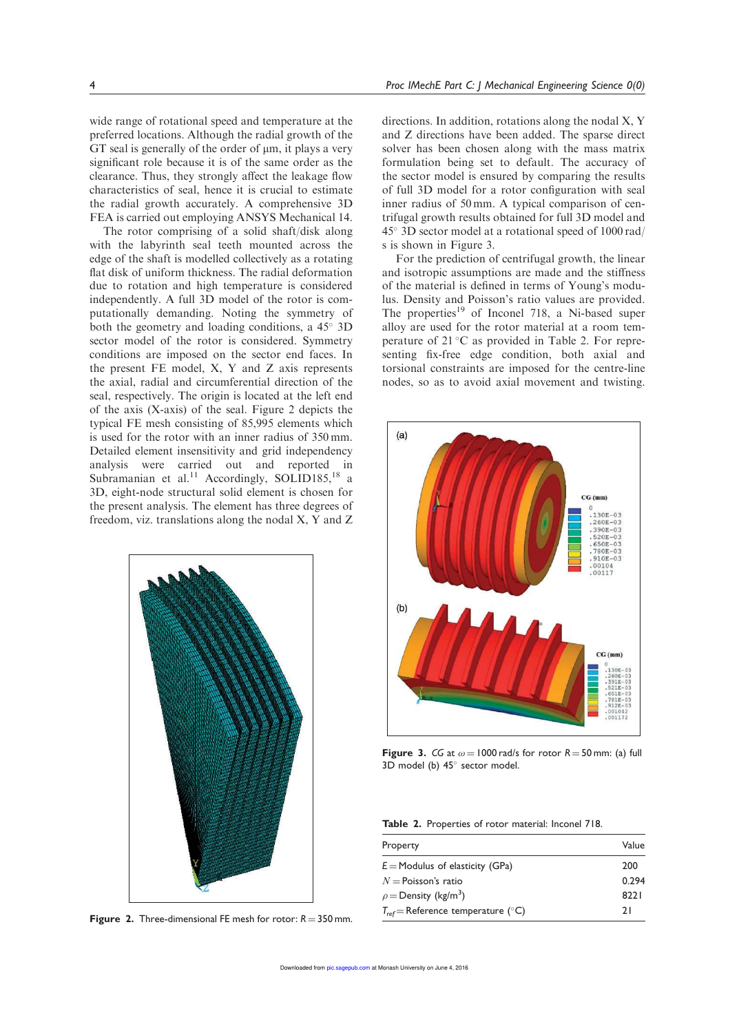wide range of rotational speed and temperature at the preferred locations. Although the radial growth of the GT seal is generally of the order of  $\mu$ m, it plays a very significant role because it is of the same order as the clearance. Thus, they strongly affect the leakage flow characteristics of seal, hence it is crucial to estimate the radial growth accurately. A comprehensive 3D FEA is carried out employing ANSYS Mechanical 14.

The rotor comprising of a solid shaft/disk along with the labyrinth seal teeth mounted across the edge of the shaft is modelled collectively as a rotating flat disk of uniform thickness. The radial deformation due to rotation and high temperature is considered independently. A full 3D model of the rotor is computationally demanding. Noting the symmetry of both the geometry and loading conditions, a 45° 3D sector model of the rotor is considered. Symmetry conditions are imposed on the sector end faces. In the present FE model, X, Y and Z axis represents the axial, radial and circumferential direction of the seal, respectively. The origin is located at the left end of the axis (X-axis) of the seal. Figure 2 depicts the typical FE mesh consisting of 85,995 elements which is used for the rotor with an inner radius of 350 mm. Detailed element insensitivity and grid independency analysis were carried out and reported in Subramanian et al.<sup>11</sup> Accordingly, SOLID185,<sup>18</sup> a 3D, eight-node structural solid element is chosen for the present analysis. The element has three degrees of freedom, viz. translations along the nodal X, Y and Z



**Figure 2.** Three-dimensional FE mesh for rotor:  $R = 350$  mm.

directions. In addition, rotations along the nodal X, Y and Z directions have been added. The sparse direct solver has been chosen along with the mass matrix formulation being set to default. The accuracy of the sector model is ensured by comparing the results of full 3D model for a rotor configuration with seal inner radius of 50 mm. A typical comparison of centrifugal growth results obtained for full 3D model and 45° 3D sector model at a rotational speed of 1000 rad/ s is shown in Figure 3.

For the prediction of centrifugal growth, the linear and isotropic assumptions are made and the stiffness of the material is defined in terms of Young's modulus. Density and Poisson's ratio values are provided. The properties<sup>19</sup> of Inconel 718, a Ni-based super alloy are used for the rotor material at a room temperature of  $21^{\circ}$ C as provided in Table 2. For representing fix-free edge condition, both axial and torsional constraints are imposed for the centre-line nodes, so as to avoid axial movement and twisting.



**Figure 3.** *CG* at  $\omega = 1000$  rad/s for rotor  $R = 50$  mm: (a) full 3D model (b) 45° sector model.

Table 2. Properties of rotor material: Inconel 718.

| Property                               | Value |
|----------------------------------------|-------|
| $E =$ Modulus of elasticity (GPa)      | 200   |
| $N =$ Poisson's ratio                  | 0.294 |
| $\rho =$ Density (kg/m <sup>3</sup> )  | 8221  |
| $T_{ref}$ = Reference temperature (°C) | 21    |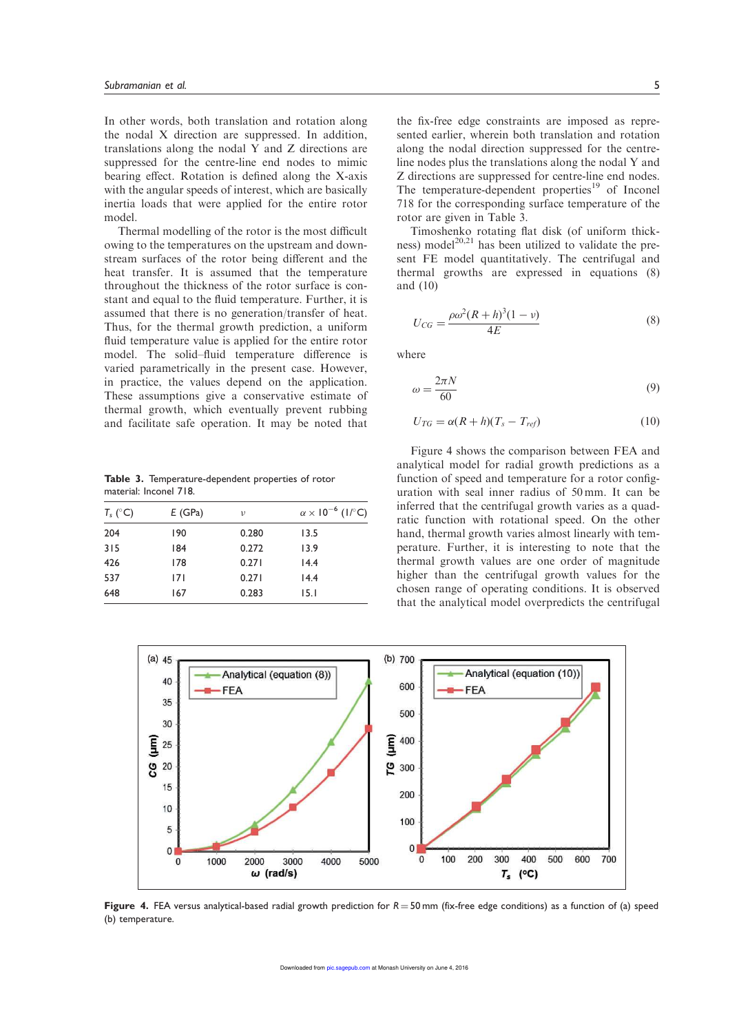In other words, both translation and rotation along the nodal X direction are suppressed. In addition, translations along the nodal Y and Z directions are suppressed for the centre-line end nodes to mimic bearing effect. Rotation is defined along the X-axis with the angular speeds of interest, which are basically inertia loads that were applied for the entire rotor model.

Thermal modelling of the rotor is the most difficult owing to the temperatures on the upstream and downstream surfaces of the rotor being different and the heat transfer. It is assumed that the temperature throughout the thickness of the rotor surface is constant and equal to the fluid temperature. Further, it is assumed that there is no generation/transfer of heat. Thus, for the thermal growth prediction, a uniform fluid temperature value is applied for the entire rotor model. The solid–fluid temperature difference is varied parametrically in the present case. However, in practice, the values depend on the application. These assumptions give a conservative estimate of thermal growth, which eventually prevent rubbing and facilitate safe operation. It may be noted that

Table 3. Temperature-dependent properties of rotor material: Inconel 718.

| $T_s$ (°C) | E(GPa) | ν     | $\alpha \times 10^{-6}$ (I/°C) |
|------------|--------|-------|--------------------------------|
| 204        | 190    | 0.280 | 13.5                           |
| 315        | 84     | 0.272 | 13.9                           |
| 426        | 178    | 0.271 | 14.4                           |
| 537        | 7      | 0.271 | 14.4                           |
| 648        | 167    | 0.283 | 15.1                           |

the fix-free edge constraints are imposed as represented earlier, wherein both translation and rotation along the nodal direction suppressed for the centreline nodes plus the translations along the nodal Y and Z directions are suppressed for centre-line end nodes. The temperature-dependent properties $19$  of Inconel 718 for the corresponding surface temperature of the rotor are given in Table 3.

Timoshenko rotating flat disk (of uniform thickness) model<sup>20,21</sup> has been utilized to validate the present FE model quantitatively. The centrifugal and thermal growths are expressed in equations (8) and (10)

$$
U_{CG} = \frac{\rho \omega^2 (R+h)^3 (1-\nu)}{4E}
$$
 (8)

where

$$
\omega = \frac{2\pi N}{60} \tag{9}
$$

$$
U_{TG} = \alpha (R + h)(T_s - T_{ref})
$$
\n(10)

Figure 4 shows the comparison between FEA and analytical model for radial growth predictions as a function of speed and temperature for a rotor configuration with seal inner radius of 50 mm. It can be inferred that the centrifugal growth varies as a quadratic function with rotational speed. On the other hand, thermal growth varies almost linearly with temperature. Further, it is interesting to note that the thermal growth values are one order of magnitude higher than the centrifugal growth values for the chosen range of operating conditions. It is observed that the analytical model overpredicts the centrifugal



Figure 4. FEA versus analytical-based radial growth prediction for  $R = 50$  mm (fix-free edge conditions) as a function of (a) speed (b) temperature.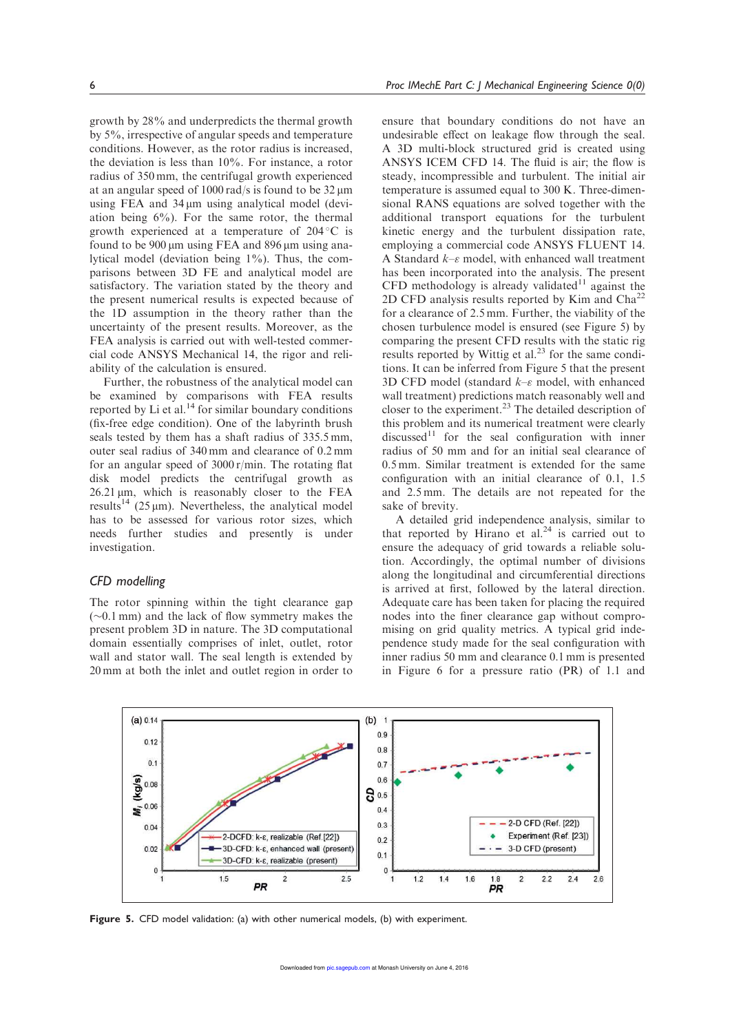growth by 28% and underpredicts the thermal growth by 5%, irrespective of angular speeds and temperature conditions. However, as the rotor radius is increased, the deviation is less than 10%. For instance, a rotor radius of 350 mm, the centrifugal growth experienced at an angular speed of 1000 rad/s is found to be  $32 \mu m$ using FEA and  $34 \mu m$  using analytical model (deviation being 6%). For the same rotor, the thermal growth experienced at a temperature of  $204\textdegree C$  is found to be  $900 \mu m$  using FEA and  $896 \mu m$  using analytical model (deviation being 1%). Thus, the comparisons between 3D FE and analytical model are satisfactory. The variation stated by the theory and the present numerical results is expected because of the 1D assumption in the theory rather than the uncertainty of the present results. Moreover, as the FEA analysis is carried out with well-tested commercial code ANSYS Mechanical 14, the rigor and reliability of the calculation is ensured.

Further, the robustness of the analytical model can be examined by comparisons with FEA results reported by Li et al.<sup>14</sup> for similar boundary conditions (fix-free edge condition). One of the labyrinth brush seals tested by them has a shaft radius of 335.5 mm, outer seal radius of 340 mm and clearance of 0.2 mm for an angular speed of 3000 r/min. The rotating flat disk model predicts the centrifugal growth as  $26.21 \,\mu m$ , which is reasonably closer to the FEA results<sup>14</sup> (25  $\mu$ m). Nevertheless, the analytical model has to be assessed for various rotor sizes, which needs further studies and presently is under investigation.

# *CFD modelling*

The rotor spinning within the tight clearance gap  $(\sim 0.1 \text{ mm})$  and the lack of flow symmetry makes the present problem 3D in nature. The 3D computational domain essentially comprises of inlet, outlet, rotor wall and stator wall. The seal length is extended by 20 mm at both the inlet and outlet region in order to ensure that boundary conditions do not have an undesirable effect on leakage flow through the seal. A 3D multi-block structured grid is created using ANSYS ICEM CFD 14. The fluid is air; the flow is steady, incompressible and turbulent. The initial air temperature is assumed equal to 300 K. Three-dimensional RANS equations are solved together with the additional transport equations for the turbulent kinetic energy and the turbulent dissipation rate, employing a commercial code ANSYS FLUENT 14. A Standard  $k$ – $\varepsilon$  model, with enhanced wall treatment has been incorporated into the analysis. The present CFD methodology is already validated $11$  against the 2D CFD analysis results reported by Kim and  $Cha^{22}$ for a clearance of 2.5 mm. Further, the viability of the chosen turbulence model is ensured (see Figure 5) by comparing the present CFD results with the static rig results reported by Wittig et al.<sup>23</sup> for the same conditions. It can be inferred from Figure 5 that the present 3D CFD model (standard  $k$ – $\varepsilon$  model, with enhanced wall treatment) predictions match reasonably well and closer to the experiment.<sup>23</sup> The detailed description of this problem and its numerical treatment were clearly discussed<sup>11</sup> for the seal configuration with inner radius of 50 mm and for an initial seal clearance of 0.5 mm. Similar treatment is extended for the same configuration with an initial clearance of 0.1, 1.5 and 2.5 mm. The details are not repeated for the sake of brevity.

A detailed grid independence analysis, similar to that reported by Hirano et al.<sup>24</sup> is carried out to ensure the adequacy of grid towards a reliable solution. Accordingly, the optimal number of divisions along the longitudinal and circumferential directions is arrived at first, followed by the lateral direction. Adequate care has been taken for placing the required nodes into the finer clearance gap without compromising on grid quality metrics. A typical grid independence study made for the seal configuration with inner radius 50 mm and clearance 0.1 mm is presented in Figure 6 for a pressure ratio (PR) of 1.1 and



Figure 5. CFD model validation: (a) with other numerical models, (b) with experiment.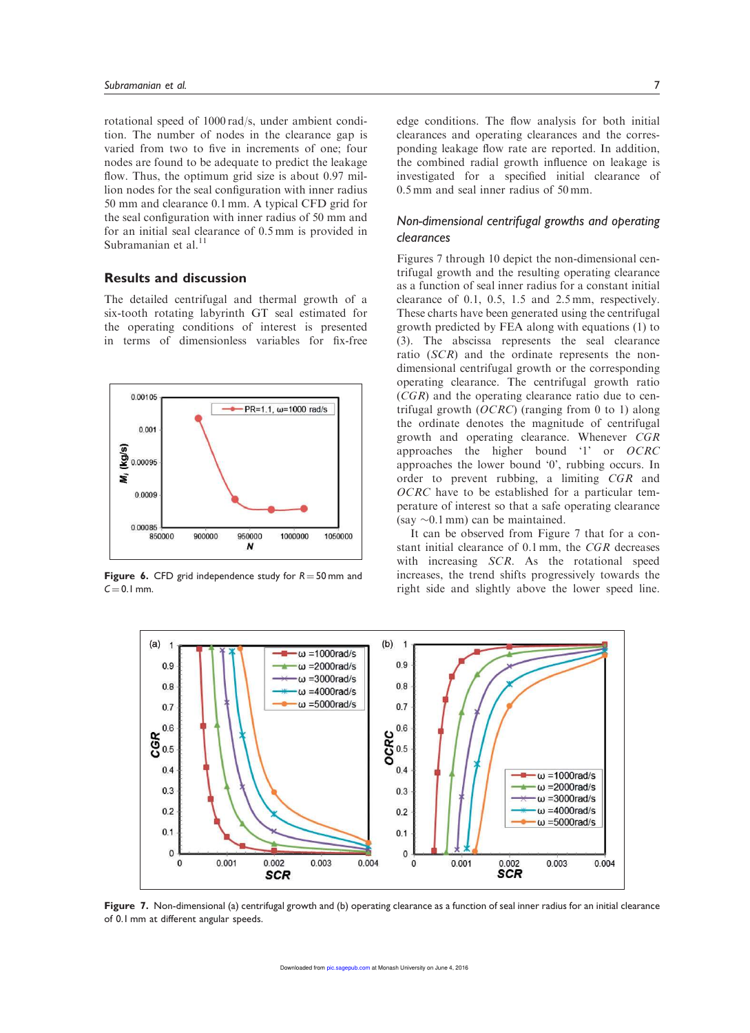rotational speed of 1000 rad/s, under ambient condition. The number of nodes in the clearance gap is varied from two to five in increments of one; four nodes are found to be adequate to predict the leakage flow. Thus, the optimum grid size is about 0.97 million nodes for the seal configuration with inner radius 50 mm and clearance 0.1 mm. A typical CFD grid for the seal configuration with inner radius of 50 mm and for an initial seal clearance of 0.5 mm is provided in Subramanian et al.<sup>11</sup>

# Results and discussion

The detailed centrifugal and thermal growth of a six-tooth rotating labyrinth GT seal estimated for the operating conditions of interest is presented in terms of dimensionless variables for fix-free



**Figure 6.** CFD grid independence study for  $R = 50$  mm and  $C = 0.1$  mm.

edge conditions. The flow analysis for both initial clearances and operating clearances and the corresponding leakage flow rate are reported. In addition, the combined radial growth influence on leakage is investigated for a specified initial clearance of 0.5 mm and seal inner radius of 50 mm.

# *Non-dimensional centrifugal growths and operating clearances*

Figures 7 through 10 depict the non-dimensional centrifugal growth and the resulting operating clearance as a function of seal inner radius for a constant initial clearance of 0.1, 0.5, 1.5 and 2.5 mm, respectively. These charts have been generated using the centrifugal growth predicted by FEA along with equations (1) to (3). The abscissa represents the seal clearance ratio (*SCR*) and the ordinate represents the nondimensional centrifugal growth or the corresponding operating clearance. The centrifugal growth ratio (*CGR*) and the operating clearance ratio due to centrifugal growth (*OCRC*) (ranging from 0 to 1) along the ordinate denotes the magnitude of centrifugal growth and operating clearance. Whenever *CGR* approaches the higher bound '1' or *OCRC* approaches the lower bound '0', rubbing occurs. In order to prevent rubbing, a limiting *CGR* and *OCRC* have to be established for a particular temperature of interest so that a safe operating clearance (say  $\sim$ 0.1 mm) can be maintained.

It can be observed from Figure 7 that for a constant initial clearance of 0.1 mm, the *CGR* decreases with increasing *SCR*. As the rotational speed increases, the trend shifts progressively towards the right side and slightly above the lower speed line.



Figure 7. Non-dimensional (a) centrifugal growth and (b) operating clearance as a function of seal inner radius for an initial clearance of 0.1 mm at different angular speeds.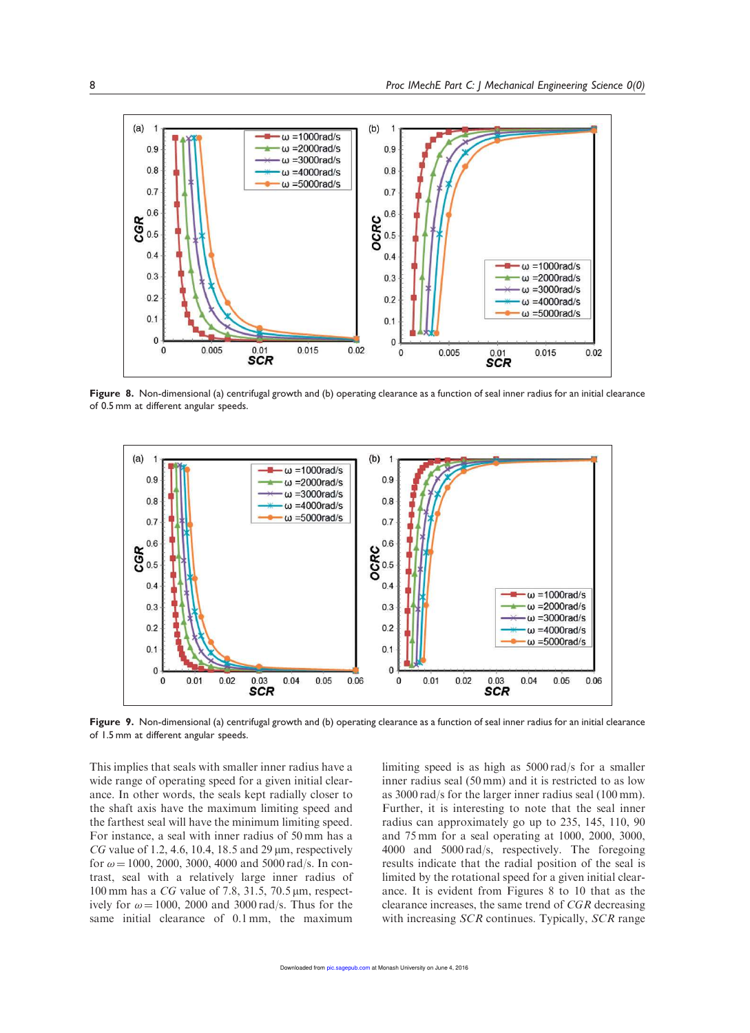

Figure 8. Non-dimensional (a) centrifugal growth and (b) operating clearance as a function of seal inner radius for an initial clearance of 0.5 mm at different angular speeds.



Figure 9. Non-dimensional (a) centrifugal growth and (b) operating clearance as a function of seal inner radius for an initial clearance of 1.5 mm at different angular speeds.

This implies that seals with smaller inner radius have a wide range of operating speed for a given initial clearance. In other words, the seals kept radially closer to the shaft axis have the maximum limiting speed and the farthest seal will have the minimum limiting speed. For instance, a seal with inner radius of 50 mm has a  $CG$  value of 1.2, 4.6, 10.4, 18.5 and 29  $\mu$ m, respectively for  $\omega = 1000$ , 2000, 3000, 4000 and 5000 rad/s. In contrast, seal with a relatively large inner radius of 100 mm has a *CG* value of 7.8, 31.5, 70.5 μm, respectively for  $\omega = 1000$ , 2000 and 3000 rad/s. Thus for the same initial clearance of 0.1 mm, the maximum

limiting speed is as high as 5000 rad/s for a smaller inner radius seal (50 mm) and it is restricted to as low as 3000 rad/s for the larger inner radius seal (100 mm). Further, it is interesting to note that the seal inner radius can approximately go up to 235, 145, 110, 90 and 75 mm for a seal operating at 1000, 2000, 3000, 4000 and 5000 rad/s, respectively. The foregoing results indicate that the radial position of the seal is limited by the rotational speed for a given initial clearance. It is evident from Figures 8 to 10 that as the clearance increases, the same trend of *CGR* decreasing with increasing *SCR* continues. Typically, *SCR* range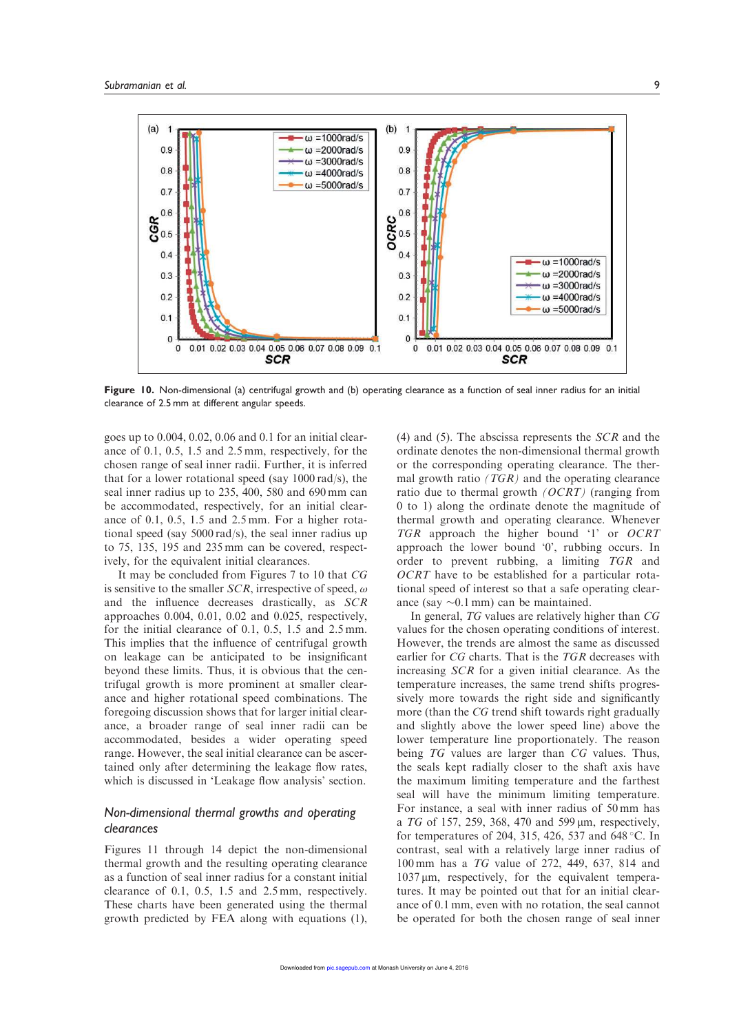

Figure 10. Non-dimensional (a) centrifugal growth and (b) operating clearance as a function of seal inner radius for an initial clearance of 2.5 mm at different angular speeds.

goes up to 0.004, 0.02, 0.06 and 0.1 for an initial clearance of 0.1, 0.5, 1.5 and 2.5 mm, respectively, for the chosen range of seal inner radii. Further, it is inferred that for a lower rotational speed (say 1000 rad/s), the seal inner radius up to 235, 400, 580 and 690 mm can be accommodated, respectively, for an initial clearance of 0.1, 0.5, 1.5 and 2.5 mm. For a higher rotational speed (say 5000 rad/s), the seal inner radius up to 75, 135, 195 and 235 mm can be covered, respectively, for the equivalent initial clearances.

It may be concluded from Figures 7 to 10 that *CG* is sensitive to the smaller *SCR*, irrespective of speed,  $\omega$ and the influence decreases drastically, as *SCR* approaches 0.004, 0.01, 0.02 and 0.025, respectively, for the initial clearance of 0.1, 0.5, 1.5 and 2.5 mm. This implies that the influence of centrifugal growth on leakage can be anticipated to be insignificant beyond these limits. Thus, it is obvious that the centrifugal growth is more prominent at smaller clearance and higher rotational speed combinations. The foregoing discussion shows that for larger initial clearance, a broader range of seal inner radii can be accommodated, besides a wider operating speed range. However, the seal initial clearance can be ascertained only after determining the leakage flow rates, which is discussed in 'Leakage flow analysis' section.

# *Non-dimensional thermal growths and operating clearances*

Figures 11 through 14 depict the non-dimensional thermal growth and the resulting operating clearance as a function of seal inner radius for a constant initial clearance of 0.1, 0.5, 1.5 and 2.5 mm, respectively. These charts have been generated using the thermal growth predicted by FEA along with equations (1),

(4) and (5). The abscissa represents the *SCR* and the ordinate denotes the non-dimensional thermal growth or the corresponding operating clearance. The thermal growth ratio *(TGR)* and the operating clearance ratio due to thermal growth *(OCRT)* (ranging from 0 to 1) along the ordinate denote the magnitude of thermal growth and operating clearance. Whenever *TGR* approach the higher bound '1' or *OCRT* approach the lower bound '0', rubbing occurs. In order to prevent rubbing, a limiting *TGR* and *OCRT* have to be established for a particular rotational speed of interest so that a safe operating clearance (say  $\sim 0.1$  mm) can be maintained.

In general, *TG* values are relatively higher than *CG* values for the chosen operating conditions of interest. However, the trends are almost the same as discussed earlier for *CG* charts. That is the *TGR* decreases with increasing *SCR* for a given initial clearance*.* As the temperature increases, the same trend shifts progressively more towards the right side and significantly more (than the *CG* trend shift towards right gradually and slightly above the lower speed line) above the lower temperature line proportionately. The reason being *TG* values are larger than *CG* values. Thus, the seals kept radially closer to the shaft axis have the maximum limiting temperature and the farthest seal will have the minimum limiting temperature. For instance, a seal with inner radius of 50 mm has a *TG* of 157, 259, 368, 470 and 599  $\mu$ m, respectively, for temperatures of 204, 315, 426, 537 and 648 °C. In contrast, seal with a relatively large inner radius of 100 mm has a *TG* value of 272, 449, 637, 814 and  $1037 \,\mu m$ , respectively, for the equivalent temperatures. It may be pointed out that for an initial clearance of 0.1 mm, even with no rotation, the seal cannot be operated for both the chosen range of seal inner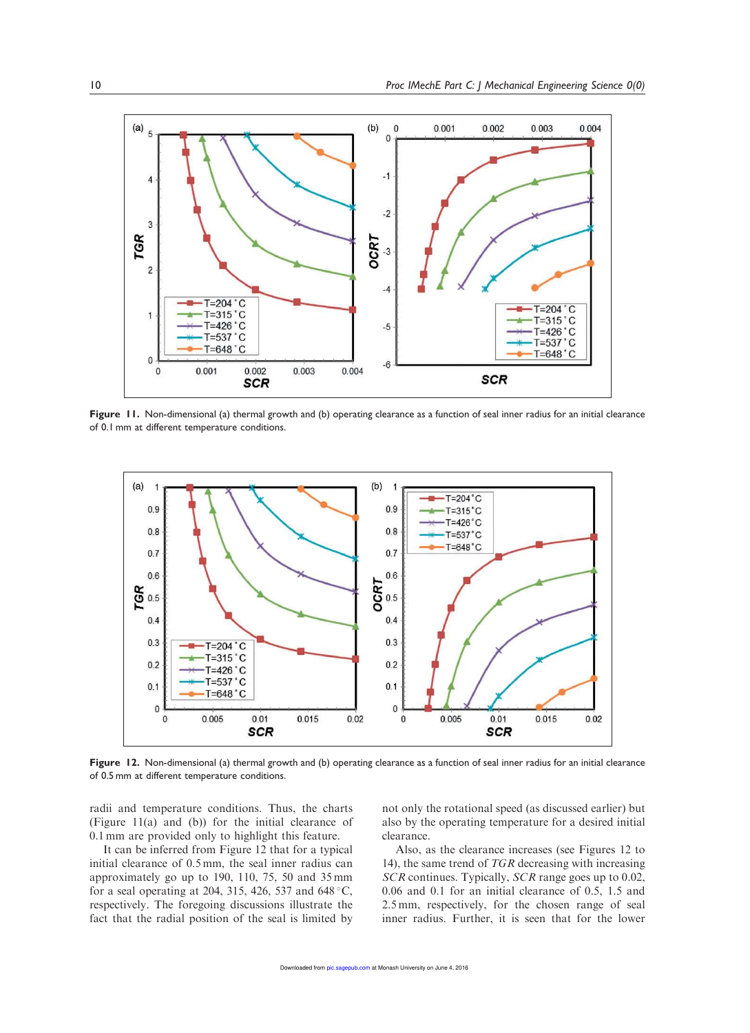

Figure 11. Non-dimensional (a) thermal growth and (b) operating clearance as a function of seal inner radius for an initial clearance of 0.1 mm at different temperature conditions.



Figure 12. Non-dimensional (a) thermal growth and (b) operating clearance as a function of seal inner radius for an initial clearance of 0.5 mm at different temperature conditions.

radii and temperature conditions. Thus, the charts (Figure 11(a) and (b)) for the initial clearance of 0.1 mm are provided only to highlight this feature.

It can be inferred from Figure 12 that for a typical initial clearance of 0.5 mm, the seal inner radius can approximately go up to 190, 110, 75, 50 and 35 mm for a seal operating at 204, 315, 426, 537 and 648 °C, respectively. The foregoing discussions illustrate the fact that the radial position of the seal is limited by not only the rotational speed (as discussed earlier) but also by the operating temperature for a desired initial clearance.

Also, as the clearance increases (see Figures 12 to 14), the same trend of *TGR* decreasing with increasing *SCR* continues. Typically, *SCR* range goes up to 0.02, 0.06 and 0.1 for an initial clearance of 0.5, 1.5 and 2.5 mm, respectively, for the chosen range of seal inner radius. Further, it is seen that for the lower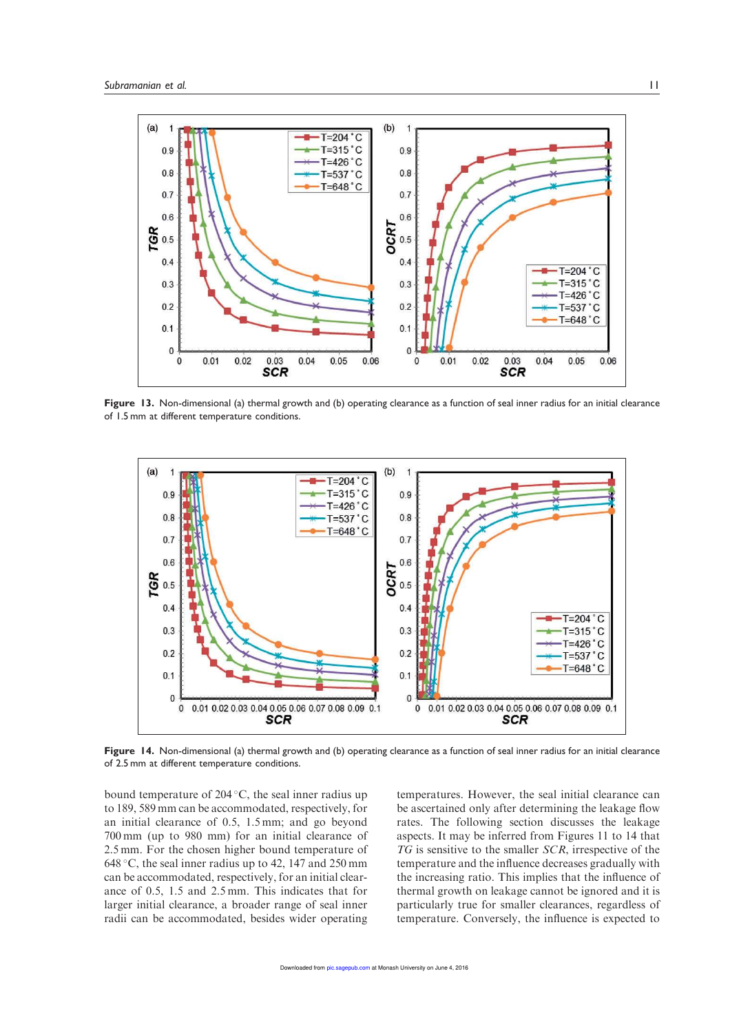

Figure 13. Non-dimensional (a) thermal growth and (b) operating clearance as a function of seal inner radius for an initial clearance of 1.5 mm at different temperature conditions.



Figure 14. Non-dimensional (a) thermal growth and (b) operating clearance as a function of seal inner radius for an initial clearance of 2.5 mm at different temperature conditions.

bound temperature of  $204^{\circ}$ C, the seal inner radius up to 189, 589 mm can be accommodated, respectively, for an initial clearance of 0.5, 1.5 mm; and go beyond 700 mm (up to 980 mm) for an initial clearance of 2.5 mm. For the chosen higher bound temperature of  $648\textdegree C$ , the seal inner radius up to 42, 147 and 250 mm can be accommodated, respectively, for an initial clearance of 0.5, 1.5 and 2.5 mm. This indicates that for larger initial clearance, a broader range of seal inner radii can be accommodated, besides wider operating

temperatures. However, the seal initial clearance can be ascertained only after determining the leakage flow rates. The following section discusses the leakage aspects. It may be inferred from Figures 11 to 14 that *TG* is sensitive to the smaller *SCR*, irrespective of the temperature and the influence decreases gradually with the increasing ratio. This implies that the influence of thermal growth on leakage cannot be ignored and it is particularly true for smaller clearances, regardless of temperature. Conversely, the influence is expected to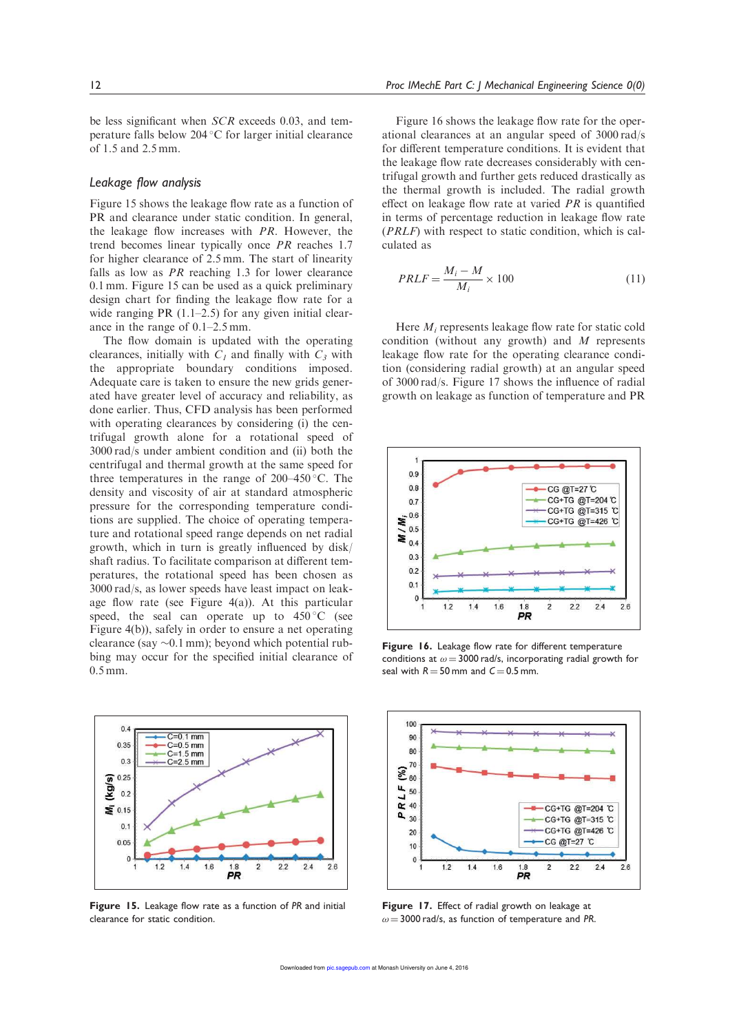be less significant when *SCR* exceeds 0.03, and temperature falls below 204 °C for larger initial clearance of 1.5 and 2.5 mm.

# *Leakage flow analysis*

Figure 15 shows the leakage flow rate as a function of PR and clearance under static condition. In general, the leakage flow increases with *PR*. However, the trend becomes linear typically once *PR* reaches 1.7 for higher clearance of 2.5 mm. The start of linearity falls as low as *PR* reaching 1.3 for lower clearance 0.1 mm. Figure 15 can be used as a quick preliminary design chart for finding the leakage flow rate for a wide ranging PR (1.1–2.5) for any given initial clearance in the range of 0.1–2.5 mm.

The flow domain is updated with the operating clearances, initially with  $C_I$  and finally with  $C_3$  with the appropriate boundary conditions imposed. Adequate care is taken to ensure the new grids generated have greater level of accuracy and reliability, as done earlier. Thus, CFD analysis has been performed with operating clearances by considering (i) the centrifugal growth alone for a rotational speed of 3000 rad/s under ambient condition and (ii) both the centrifugal and thermal growth at the same speed for three temperatures in the range of  $200-450$  °C. The density and viscosity of air at standard atmospheric pressure for the corresponding temperature conditions are supplied. The choice of operating temperature and rotational speed range depends on net radial growth, which in turn is greatly influenced by disk/ shaft radius. To facilitate comparison at different temperatures, the rotational speed has been chosen as 3000 rad/s, as lower speeds have least impact on leakage flow rate (see Figure  $4(a)$ ). At this particular speed, the seal can operate up to  $450^{\circ}$ C (see Figure 4(b)), safely in order to ensure a net operating clearance (say  $\sim$ 0.1 mm); beyond which potential rubbing may occur for the specified initial clearance of 0.5 mm.



Figure 15. Leakage flow rate as a function of *PR* and initial clearance for static condition.

Figure 16 shows the leakage flow rate for the operational clearances at an angular speed of 3000 rad/s for different temperature conditions. It is evident that the leakage flow rate decreases considerably with centrifugal growth and further gets reduced drastically as the thermal growth is included. The radial growth effect on leakage flow rate at varied *PR* is quantified in terms of percentage reduction in leakage flow rate (*PRLF*) with respect to static condition, which is calculated as

$$
PRLF = \frac{M_i - M}{M_i} \times 100\tag{11}
$$

Here *M<sup>i</sup>* represents leakage flow rate for static cold condition (without any growth) and *M* represents leakage flow rate for the operating clearance condition (considering radial growth) at an angular speed of 3000 rad/s. Figure 17 shows the influence of radial growth on leakage as function of temperature and PR



Figure 16. Leakage flow rate for different temperature conditions at  $\omega = 3000$  rad/s, incorporating radial growth for seal with  $R = 50$  mm and  $C = 0.5$  mm.



Figure 17. Effect of radial growth on leakage at  $\omega$  = 3000 rad/s, as function of temperature and *PR*.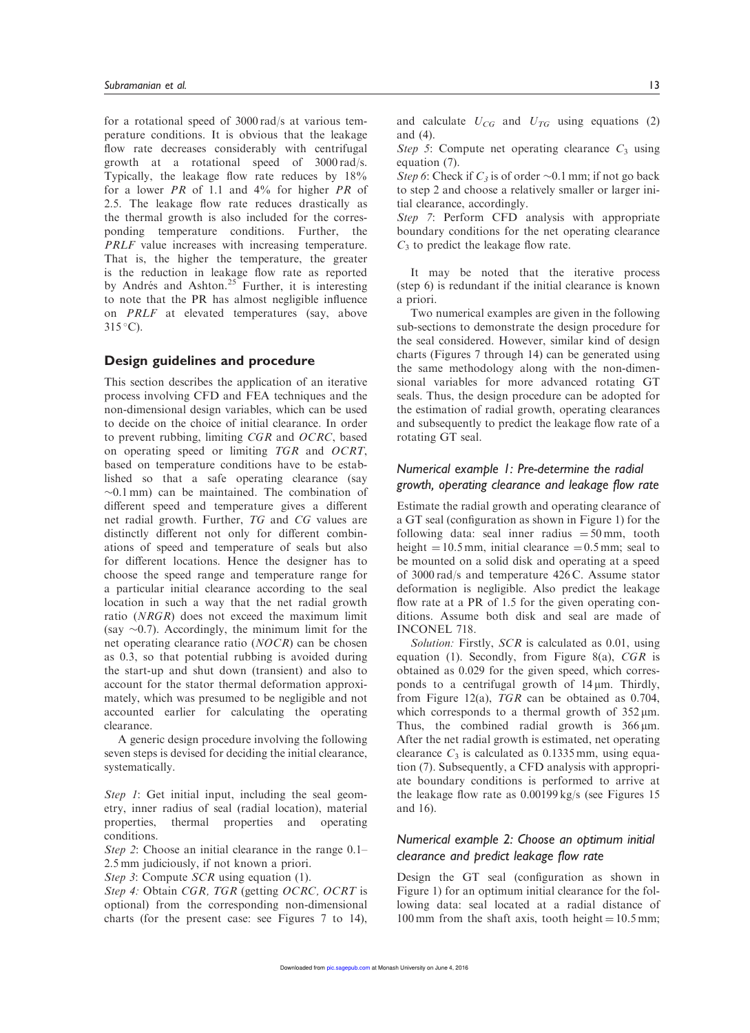for a rotational speed of 3000 rad/s at various temperature conditions. It is obvious that the leakage flow rate decreases considerably with centrifugal growth at a rotational speed of 3000 rad/s. Typically, the leakage flow rate reduces by 18% for a lower *PR* of 1.1 and 4% for higher *PR* of 2.5. The leakage flow rate reduces drastically as the thermal growth is also included for the corresponding temperature conditions. Further, the *PRLF* value increases with increasing temperature. That is, the higher the temperature, the greater is the reduction in leakage flow rate as reported by Andrés and Ashton.<sup>25</sup> Further, it is interesting to note that the PR has almost negligible influence on *PRLF* at elevated temperatures (say, above  $315^{\circ}$ C).

# Design guidelines and procedure

This section describes the application of an iterative process involving CFD and FEA techniques and the non-dimensional design variables, which can be used to decide on the choice of initial clearance. In order to prevent rubbing, limiting *CGR* and *OCRC*, based on operating speed or limiting *TGR* and *OCRT*, based on temperature conditions have to be established so that a safe operating clearance (say  $\sim$ 0.1 mm) can be maintained. The combination of different speed and temperature gives a different net radial growth. Further, *TG* and *CG* values are distinctly different not only for different combinations of speed and temperature of seals but also for different locations. Hence the designer has to choose the speed range and temperature range for a particular initial clearance according to the seal location in such a way that the net radial growth ratio (*NRGR*) does not exceed the maximum limit (say  $\sim$ 0.7). Accordingly, the minimum limit for the net operating clearance ratio (*NOCR*) can be chosen as 0.3, so that potential rubbing is avoided during the start-up and shut down (transient) and also to account for the stator thermal deformation approximately, which was presumed to be negligible and not accounted earlier for calculating the operating clearance.

A generic design procedure involving the following seven steps is devised for deciding the initial clearance, systematically.

*Step 1*: Get initial input, including the seal geometry, inner radius of seal (radial location), material properties, thermal properties and operating conditions.

*Step 2*: Choose an initial clearance in the range 0.1– 2.5 mm judiciously, if not known a priori.

*Step 3*: Compute *SCR* using equation (1)*.*

*Step 4:* Obtain *CGR, TGR* (getting *OCRC, OCRT* is optional) from the corresponding non-dimensional charts (for the present case: see Figures 7 to 14),

and calculate  $U_{CG}$  and  $U_{TG}$  using equations (2) and (4).

*Step 5*: Compute net operating clearance  $C_3$  using equation (7).

*Step 6*: Check if  $C_3$  is of order  $\sim$ 0.1 mm; if not go back to step 2 and choose a relatively smaller or larger initial clearance, accordingly.

*Step 7*: Perform CFD analysis with appropriate boundary conditions for the net operating clearance  $C_3$  to predict the leakage flow rate.

It may be noted that the iterative process (step 6) is redundant if the initial clearance is known a priori*.*

Two numerical examples are given in the following sub-sections to demonstrate the design procedure for the seal considered. However, similar kind of design charts (Figures 7 through 14) can be generated using the same methodology along with the non-dimensional variables for more advanced rotating GT seals. Thus, the design procedure can be adopted for the estimation of radial growth, operating clearances and subsequently to predict the leakage flow rate of a rotating GT seal.

# *Numerical example 1: Pre-determine the radial growth, operating clearance and leakage flow rate*

Estimate the radial growth and operating clearance of a GT seal (configuration as shown in Figure 1) for the following data: seal inner radius  $=50$  mm, tooth height  $= 10.5$  mm, initial clearance  $= 0.5$  mm; seal to be mounted on a solid disk and operating at a speed of 3000 rad/s and temperature 426 C. Assume stator deformation is negligible. Also predict the leakage flow rate at a PR of 1.5 for the given operating conditions. Assume both disk and seal are made of INCONEL 718.

*Solution:* Firstly, *SCR* is calculated as 0.01, using equation (1). Secondly, from Figure 8(a), *CGR* is obtained as 0.029 for the given speed, which corresponds to a centrifugal growth of  $14 \mu m$ . Thirdly, from Figure 12(a), *TGR* can be obtained as 0.704, which corresponds to a thermal growth of  $352 \mu m$ . Thus, the combined radial growth is  $366 \,\mu m$ . After the net radial growth is estimated, net operating clearance  $C_3$  is calculated as  $0.1335$  mm, using equation (7). Subsequently, a CFD analysis with appropriate boundary conditions is performed to arrive at the leakage flow rate as 0.00199 kg/s (see Figures 15 and 16).

# *Numerical example 2: Choose an optimum initial clearance and predict leakage flow rate*

Design the GT seal (configuration as shown in Figure 1) for an optimum initial clearance for the following data: seal located at a radial distance of 100 mm from the shaft axis, tooth height =  $10.5$  mm;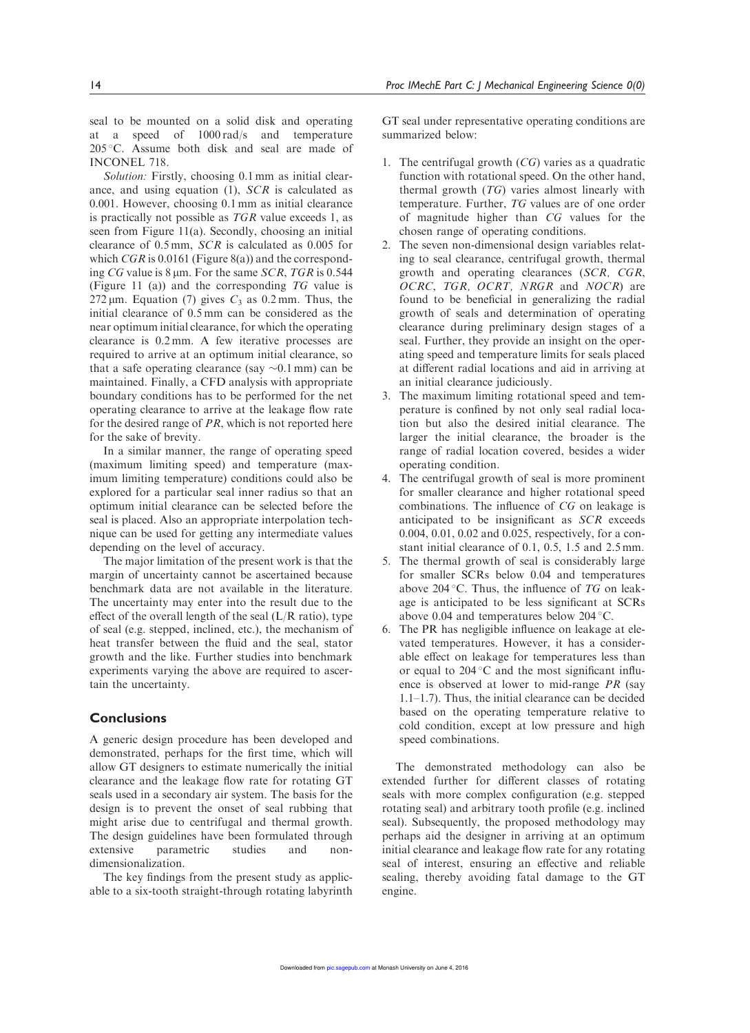seal to be mounted on a solid disk and operating at a speed of 1000 rad/s and temperature 205 °C. Assume both disk and seal are made of INCONEL 718.

*Solution:* Firstly, choosing 0.1 mm as initial clearance, and using equation (1), *SCR* is calculated as 0.001. However, choosing 0.1 mm as initial clearance is practically not possible as *TGR* value exceeds 1, as seen from Figure 11(a). Secondly, choosing an initial clearance of 0.5 mm, *SCR* is calculated as 0.005 for which *CGR* is 0.0161 (Figure 8(a)) and the corresponding *CG* value is 8 μm. For the same *SCR*, *TGR* is 0.544 (Figure 11 (a)) and the corresponding *TG* value is 272  $\mu$ m. Equation (7) gives  $C_3$  as 0.2 mm. Thus, the initial clearance of 0.5 mm can be considered as the near optimum initial clearance, for which the operating clearance is 0.2 mm. A few iterative processes are required to arrive at an optimum initial clearance, so that a safe operating clearance (say  $\sim 0.1$  mm) can be maintained. Finally, a CFD analysis with appropriate boundary conditions has to be performed for the net operating clearance to arrive at the leakage flow rate for the desired range of *PR*, which is not reported here for the sake of brevity.

In a similar manner, the range of operating speed (maximum limiting speed) and temperature (maximum limiting temperature) conditions could also be explored for a particular seal inner radius so that an optimum initial clearance can be selected before the seal is placed. Also an appropriate interpolation technique can be used for getting any intermediate values depending on the level of accuracy.

The major limitation of the present work is that the margin of uncertainty cannot be ascertained because benchmark data are not available in the literature. The uncertainty may enter into the result due to the effect of the overall length of the seal  $(L/R \text{ ratio})$ , type of seal (e.g. stepped, inclined, etc.), the mechanism of heat transfer between the fluid and the seal, stator growth and the like. Further studies into benchmark experiments varying the above are required to ascertain the uncertainty.

# **Conclusions**

A generic design procedure has been developed and demonstrated, perhaps for the first time, which will allow GT designers to estimate numerically the initial clearance and the leakage flow rate for rotating GT seals used in a secondary air system. The basis for the design is to prevent the onset of seal rubbing that might arise due to centrifugal and thermal growth. The design guidelines have been formulated through extensive parametric studies and nondimensionalization.

The key findings from the present study as applicable to a six-tooth straight-through rotating labyrinth GT seal under representative operating conditions are summarized below:

- 1. The centrifugal growth (*CG*) varies as a quadratic function with rotational speed. On the other hand, thermal growth (*TG*) varies almost linearly with temperature. Further, *TG* values are of one order of magnitude higher than *CG* values for the chosen range of operating conditions.
- 2. The seven non-dimensional design variables relating to seal clearance, centrifugal growth, thermal growth and operating clearances (*SCR, CGR*, *OCRC*, *TGR, OCRT, NRGR* and *NOCR*) are found to be beneficial in generalizing the radial growth of seals and determination of operating clearance during preliminary design stages of a seal. Further, they provide an insight on the operating speed and temperature limits for seals placed at different radial locations and aid in arriving at an initial clearance judiciously.
- 3. The maximum limiting rotational speed and temperature is confined by not only seal radial location but also the desired initial clearance. The larger the initial clearance, the broader is the range of radial location covered, besides a wider operating condition.
- 4. The centrifugal growth of seal is more prominent for smaller clearance and higher rotational speed combinations. The influence of *CG* on leakage is anticipated to be insignificant as *SCR* exceeds 0.004, 0.01, 0.02 and 0.025, respectively, for a constant initial clearance of 0.1, 0.5, 1.5 and 2.5 mm.
- 5. The thermal growth of seal is considerably large for smaller SCRs below 0.04 and temperatures above 204 °C. Thus, the influence of *TG* on leakage is anticipated to be less significant at SCRs above 0.04 and temperatures below  $204$  °C.
- 6. The PR has negligible influence on leakage at elevated temperatures. However, it has a considerable effect on leakage for temperatures less than or equal to 204 °C and the most significant influence is observed at lower to mid-range *PR* (say 1.1–1.7). Thus, the initial clearance can be decided based on the operating temperature relative to cold condition, except at low pressure and high speed combinations.

The demonstrated methodology can also be extended further for different classes of rotating seals with more complex configuration (e.g. stepped rotating seal) and arbitrary tooth profile (e.g. inclined seal). Subsequently, the proposed methodology may perhaps aid the designer in arriving at an optimum initial clearance and leakage flow rate for any rotating seal of interest, ensuring an effective and reliable sealing, thereby avoiding fatal damage to the GT engine.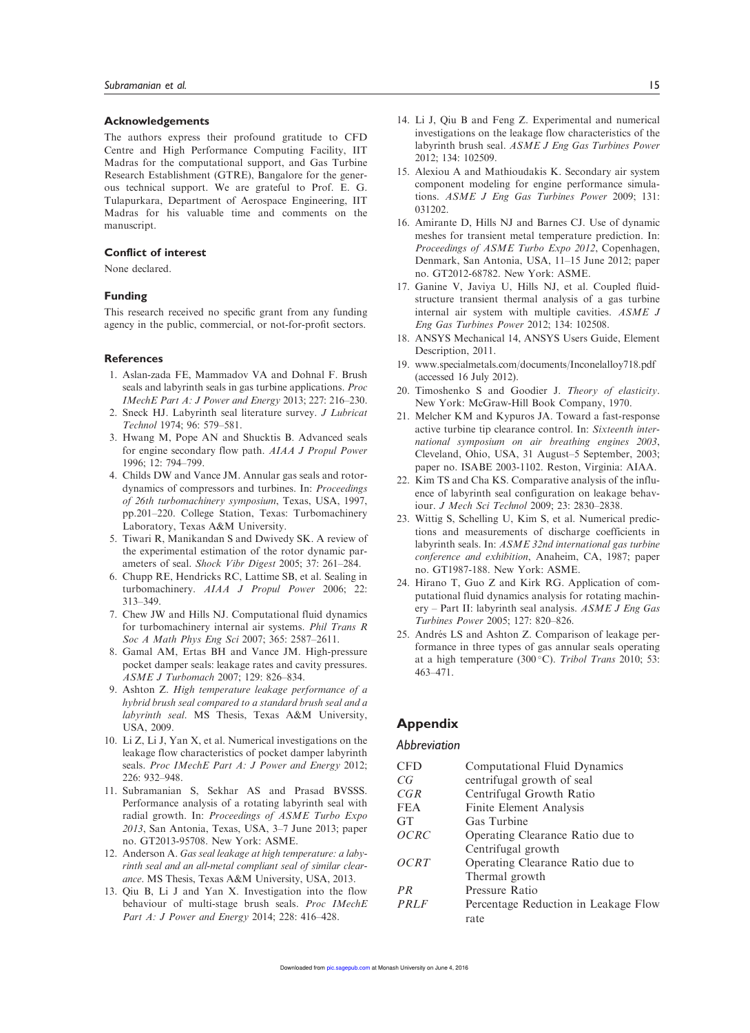#### Acknowledgements

The authors express their profound gratitude to CFD Centre and High Performance Computing Facility, IIT Madras for the computational support, and Gas Turbine Research Establishment (GTRE), Bangalore for the generous technical support. We are grateful to Prof. E. G. Tulapurkara, Department of Aerospace Engineering, IIT Madras for his valuable time and comments on the manuscript.

### Conflict of interest

None declared.

#### Funding

This research received no specific grant from any funding agency in the public, commercial, or not-for-profit sectors.

### **References**

- 1. Aslan-zada FE, Mammadov VA and Dohnal F. Brush seals and labyrinth seals in gas turbine applications. *Proc IMechE Part A: J Power and Energy* 2013; 227: 216–230.
- 2. Sneck HJ. Labyrinth seal literature survey. *J Lubricat Technol* 1974; 96: 579–581.
- 3. Hwang M, Pope AN and Shucktis B. Advanced seals for engine secondary flow path. *AIAA J Propul Power* 1996; 12: 794–799.
- 4. Childs DW and Vance JM. Annular gas seals and rotordynamics of compressors and turbines. In: *Proceedings of 26th turbomachinery symposium*, Texas, USA, 1997, pp.201–220. College Station, Texas: Turbomachinery Laboratory, Texas A&M University.
- 5. Tiwari R, Manikandan S and Dwivedy SK. A review of the experimental estimation of the rotor dynamic parameters of seal. *Shock Vibr Digest* 2005; 37: 261–284.
- 6. Chupp RE, Hendricks RC, Lattime SB, et al. Sealing in turbomachinery. *AIAA J Propul Power* 2006; 22: 313–349.
- 7. Chew JW and Hills NJ. Computational fluid dynamics for turbomachinery internal air systems. *Phil Trans R Soc A Math Phys Eng Sci* 2007; 365: 2587–2611.
- 8. Gamal AM, Ertas BH and Vance JM. High-pressure pocket damper seals: leakage rates and cavity pressures. *ASME J Turbomach* 2007; 129: 826–834.
- 9. Ashton Z. *High temperature leakage performance of a hybrid brush seal compared to a standard brush seal and a labyrinth seal*. MS Thesis, Texas A&M University, USA, 2009.
- 10. Li Z, Li J, Yan X, et al. Numerical investigations on the leakage flow characteristics of pocket damper labyrinth seals. *Proc IMechE Part A: J Power and Energy* 2012; 226: 932–948.
- 11. Subramanian S, Sekhar AS and Prasad BVSSS. Performance analysis of a rotating labyrinth seal with radial growth. In: *Proceedings of ASME Turbo Expo 2013*, San Antonia, Texas, USA, 3–7 June 2013; paper no. GT2013-95708. New York: ASME.
- 12. Anderson A. *Gas seal leakage at high temperature: a labyrinth seal and an all-metal compliant seal of similar clearance*. MS Thesis, Texas A&M University, USA, 2013.
- 13. Qiu B, Li J and Yan X. Investigation into the flow behaviour of multi-stage brush seals. *Proc IMechE Part A: J Power and Energy* 2014; 228: 416–428.
- 14. Li J, Qiu B and Feng Z. Experimental and numerical investigations on the leakage flow characteristics of the labyrinth brush seal. *ASME J Eng Gas Turbines Power* 2012; 134: 102509.
- 15. Alexiou A and Mathioudakis K. Secondary air system component modeling for engine performance simulations. *ASME J Eng Gas Turbines Power* 2009; 131: 031202.
- 16. Amirante D, Hills NJ and Barnes CJ. Use of dynamic meshes for transient metal temperature prediction. In: *Proceedings of ASME Turbo Expo 2012*, Copenhagen, Denmark, San Antonia, USA, 11–15 June 2012; paper no. GT2012-68782. New York: ASME.
- 17. Ganine V, Javiya U, Hills NJ, et al. Coupled fluidstructure transient thermal analysis of a gas turbine internal air system with multiple cavities. *ASME J Eng Gas Turbines Power* 2012; 134: 102508.
- 18. ANSYS Mechanical 14, ANSYS Users Guide, Element Description, 2011.
- 19. www.specialmetals.com/documents/Inconelalloy718.pdf (accessed 16 July 2012).
- 20. Timoshenko S and Goodier J. *Theory of elasticity*. New York: McGraw-Hill Book Company, 1970.
- 21. Melcher KM and Kypuros JA. Toward a fast-response active turbine tip clearance control. In: *Sixteenth international symposium on air breathing engines 2003*, Cleveland, Ohio, USA, 31 August–5 September, 2003; paper no. ISABE 2003-1102. Reston, Virginia: AIAA.
- 22. Kim TS and Cha KS. Comparative analysis of the influence of labyrinth seal configuration on leakage behaviour. *J Mech Sci Technol* 2009; 23: 2830–2838.
- 23. Wittig S, Schelling U, Kim S, et al. Numerical predictions and measurements of discharge coefficients in labyrinth seals. In: *ASME 32nd international gas turbine conference and exhibition*, Anaheim, CA, 1987; paper no. GT1987-188. New York: ASME.
- 24. Hirano T, Guo Z and Kirk RG. Application of computational fluid dynamics analysis for rotating machinery – Part II: labyrinth seal analysis. *ASME J Eng Gas Turbines Power* 2005; 127: 820–826.
- 25. Andrés LS and Ashton Z. Comparison of leakage performance in three types of gas annular seals operating at a high temperature (300°C). *Tribol Trans* 2010; 53: 463–471.

# Appendix

## *Abbreviation*

| <b>CFD</b> | Computational Fluid Dynamics         |
|------------|--------------------------------------|
| CG         | centrifugal growth of seal           |
| CGR        | Centrifugal Growth Ratio             |
| <b>FEA</b> | Finite Element Analysis              |
| GT         | Gas Turbine                          |
| OCRC       | Operating Clearance Ratio due to     |
|            | Centrifugal growth                   |
| OCRT       | Operating Clearance Ratio due to     |
|            | Thermal growth                       |
| PR         | Pressure Ratio                       |
| PRLF       | Percentage Reduction in Leakage Flow |
|            | rate                                 |